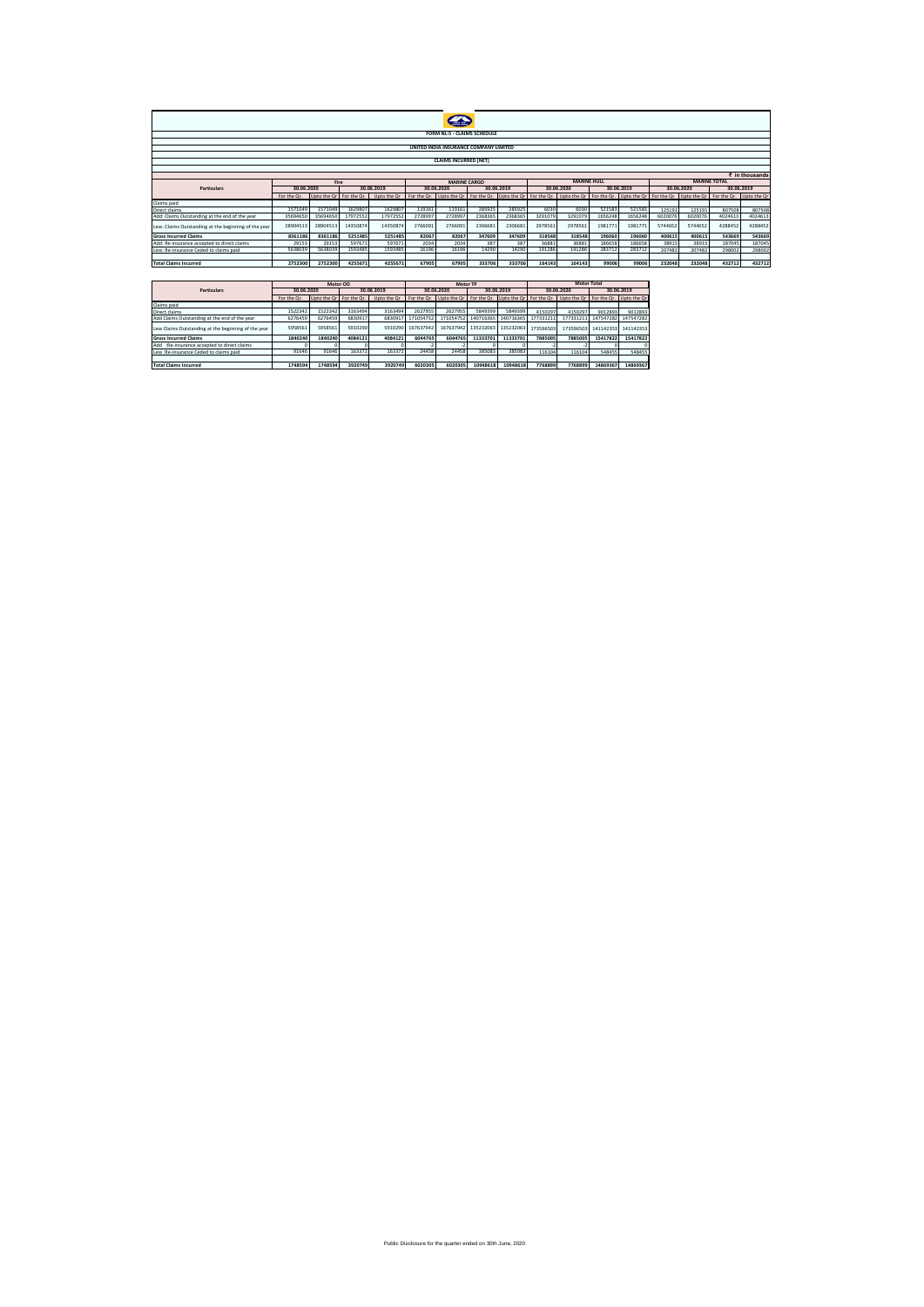|                                                                                                                                                                                  | <b>FORM NL-5 - CLAIMS SCHEDULE</b>     |             |             |                    |               |                              |             |             |             |                    |             |                         |         |             |                     |                |
|----------------------------------------------------------------------------------------------------------------------------------------------------------------------------------|----------------------------------------|-------------|-------------|--------------------|---------------|------------------------------|-------------|-------------|-------------|--------------------|-------------|-------------------------|---------|-------------|---------------------|----------------|
|                                                                                                                                                                                  | UNITED INDIA INSURANCE COMPANY LIMITED |             |             |                    |               |                              |             |             |             |                    |             |                         |         |             |                     |                |
|                                                                                                                                                                                  |                                        |             |             |                    |               |                              |             |             |             |                    |             |                         |         |             |                     |                |
|                                                                                                                                                                                  |                                        |             |             |                    |               | <b>CLAIMS INCURRED [NET]</b> |             |             |             |                    |             |                         |         |             |                     |                |
|                                                                                                                                                                                  |                                        |             |             |                    |               |                              |             |             |             |                    |             |                         |         |             |                     |                |
|                                                                                                                                                                                  |                                        |             |             |                    |               |                              |             |             |             |                    |             |                         |         |             | <b>MARINE TOTAL</b> | ₹ in thousands |
| <b>MARINE HUIL</b><br>Fire<br><b>MARINE CARGO</b><br>30.06.2020<br>30.06.2019<br>30.06.2020<br>30.06.2019<br>30.06.2020<br>30.06.2019<br>30.06.2020<br>30.06.2019<br>Particulars |                                        |             |             |                    |               |                              |             |             |             |                    |             |                         |         |             |                     |                |
|                                                                                                                                                                                  | For the Or.                            | Upto the Or | For the Or. | Upto the Or        | For the Or.   | Upto the Or                  | For the Or. | Upto the Or | For the Or. | Upto the Or        | For the Or. | Upto the Or For the Or. |         | Upto the Or | For the Or.         | Upto the Or    |
| Claims paid                                                                                                                                                                      |                                        |             |             |                    |               |                              |             |             |             |                    |             |                         |         |             |                     |                |
| <b>Direct claims</b>                                                                                                                                                             | 1571049                                | 1571049     | 1629807     | 1629807            | 119161        | 119161                       | 285925      | 285925      | 6030        | 6030               | 521583      | 521583                  | 125191  | 125191      | 807508              | 807508         |
| Add: Claims Outstanding at the end of the year                                                                                                                                   | 35694650                               | 35694650    | 17972552    | 17972552           | 2728997       | 2728997                      | 2368365     | 2368365     | 3291079     | 3291079            | 165624      | 1656248                 | 6020076 | 6020076     | 4024613             | 4024613        |
| Less: Claims Outstanding at the beginning of the year                                                                                                                            | 28904513                               | 28904513    | 14350874    | 14350874           | 2766091       | 2766091                      | 2306681     | 2306681     | 2978561     | 2978561            | 1981773     | 1981771                 | 5744652 | 5744652     | 4288452             | 4288452        |
| <b>Gross Incurred Claims</b>                                                                                                                                                     | 8361186                                | 8361186     | 5251485     | 5251485            | 82067         | 82067                        | 347609      | 347609      | 318548      | 318548             | 196060      | 196060                  | 400615  | 400615      | 543669              | 543669         |
| Add: Re-insurance accepted to direct claims                                                                                                                                      | 29153                                  | 29153       | 597673      | 597671             | 2034          | 2034                         | 387         | 387         | 36881       | 36881              | 186658      | 186658                  | 38915   | 38915       | 187045              | 187045         |
| Less: Re-insurance Ceded to claims paid                                                                                                                                          | 5638039                                | 5638039     | 1593485     | 1593485            | 16196         | 16196                        | 14290       | 14290       | 191286      | 191286             | 283712      | 283712                  | 207482  | 207482      | 298002              | 298002         |
| <b>Total Claims Incurred</b>                                                                                                                                                     | 2752300                                | 2752300     | 4255671     | 4255671            | 67905         | 67905                        | 333706      | 333706      | 164143      | 164143             | 99006       | 99006                   | 232048  | 232048      | 432712              | 432712         |
|                                                                                                                                                                                  |                                        |             |             |                    |               |                              |             |             |             |                    |             |                         |         |             |                     |                |
|                                                                                                                                                                                  |                                        |             |             |                    |               |                              |             |             |             |                    |             |                         |         |             |                     |                |
|                                                                                                                                                                                  | Motor OD                               |             |             |                    |               | Motor TP                     |             |             |             | <b>Motor Total</b> |             |                         |         |             |                     |                |
| Particulars                                                                                                                                                                      | 30.06.2020                             |             |             | 30.06.2019         |               | 30.06.2020                   |             | 30.06.2019  |             | 30.06.2020         |             | 30.06.2019              |         |             |                     |                |
| Claims paid                                                                                                                                                                      | For the Or.                            | Upto the Or | For the Or. | Upto the Or        | For the Or.   | Upto the Or                  | For the Or. | Upto the Or | For the Or. | Upto the Or        | For the Or. | Upto the Or             |         |             |                     |                |
| Direct claims                                                                                                                                                                    | 1522342                                | 1522342     | 3163494     | 3163494            | 2627955       | 2627955                      | 5849399     | 5849399     | 4150297     | 415029             | 901289      | 9012893                 |         |             |                     |                |
| Add Claims Outstanding at the end of the year                                                                                                                                    | 6276459                                | 6276459     | 6830917     | 683091             | 171054752     | 171054752                    | 140716365   | 140716365   | 177331211   | 17733121           | 147547282   | 147547282               |         |             |                     |                |
|                                                                                                                                                                                  |                                        |             |             |                    |               | 167637942                    |             |             |             |                    |             |                         |         |             |                     |                |
| Less Claims Outstanding at the beginning of the year                                                                                                                             | 5958561                                | 5958563     | 5910290     | 5910290            | 167637942     |                              | 135232063   | 135232063   | 173596503   | 173596503          | 141142353   | 141142353               |         |             |                     |                |
| <b>Gross Incurred Claims</b>                                                                                                                                                     | 1840240                                | 1840240     | 4084121     | 4084121            | 6044765       | 6044765                      | 11333701    | 11333701    | 7885005     | 7885005            | 15417822    | 15417822                |         |             |                     |                |
| Add :Re-insurance accepted to direct claims                                                                                                                                      | 91646                                  | $\Omega$    | $\Omega$    | $\Omega$<br>163372 | $-2$<br>24458 | $\cdot$                      | $\Omega$    | n           | $-2$        |                    |             |                         |         |             |                     |                |
| Less : Re-insurance Ceded to claims paid                                                                                                                                         |                                        | 91646       | 163372      |                    |               | 24458                        | 385083      | 385083      | 116104      | 116104             | 548455      | 548455                  |         |             |                     |                |
| <b>Total Claims Incurred</b>                                                                                                                                                     | 1748594                                | 1748594     | 3920749     | 3920749            | 6020305       | 6020305                      | 10948618    | 10948618    | 7768899     | 7768899            | 14869367    | 14869367                |         |             |                     |                |